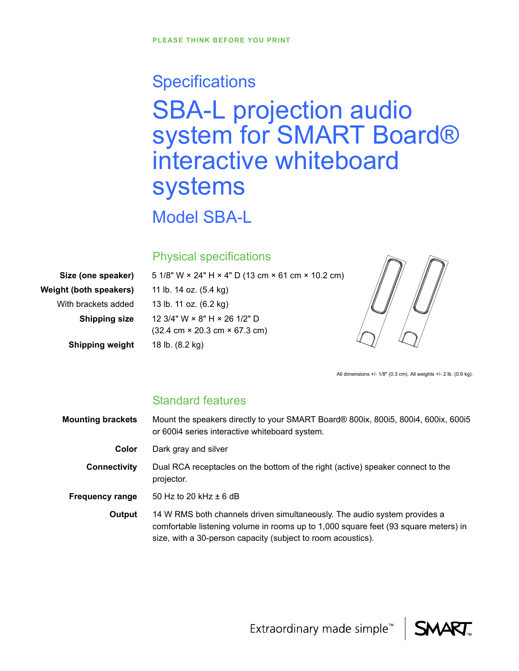# **Specifications** SBA-L projection audio system for SMART Board® interactive whiteboard systems

Model SBA-L

#### Physical specifications

| Size (one speaker)            | 5 1/8" W $\times$ 24" H $\times$ 4" D (13 cm $\times$ 61 cm $\times$ 10.2 cm) |  |
|-------------------------------|-------------------------------------------------------------------------------|--|
| <b>Weight (both speakers)</b> | 11 lb. 14 oz. (5.4 kg)                                                        |  |
| With brackets added           | 13 lb. 11 oz. (6.2 kg)                                                        |  |
| <b>Shipping size</b>          | 12 3/4" W $\times$ 8" H $\times$ 26 1/2" D                                    |  |
|                               | $(32.4 \text{ cm} \times 20.3 \text{ cm} \times 67.3 \text{ cm})$             |  |
| <b>Shipping weight</b>        | 18 lb. (8.2 kg)                                                               |  |
|                               |                                                                               |  |

All dimensions +/- 1/8" (0.3 cm). All weights +/- 2 lb. (0.9 kg).

## Standard features

| <b>Mounting brackets</b> | Mount the speakers directly to your SMART Board® 800ix, 800i5, 800i4, 600ix, 600i5<br>or 600i4 series interactive whiteboard system.                                                                                             |
|--------------------------|----------------------------------------------------------------------------------------------------------------------------------------------------------------------------------------------------------------------------------|
| Color                    | Dark gray and silver                                                                                                                                                                                                             |
| <b>Connectivity</b>      | Dual RCA receptacles on the bottom of the right (active) speaker connect to the<br>projector.                                                                                                                                    |
| <b>Frequency range</b>   | 50 Hz to 20 kHz $\pm$ 6 dB                                                                                                                                                                                                       |
| Output                   | 14 W RMS both channels driven simultaneously. The audio system provides a<br>comfortable listening volume in rooms up to 1,000 square feet (93 square meters) in<br>size, with a 30-person capacity (subject to room acoustics). |

Extraordinary made simple<sup>™</sup>

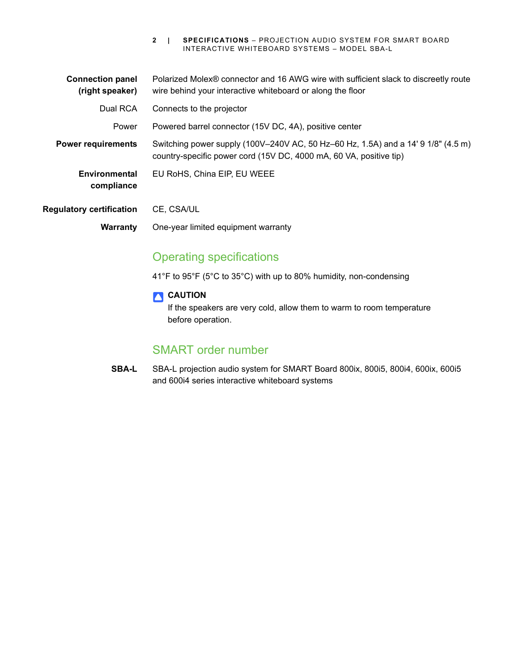**2 | SPECIFICATIONS** – PROJECTION AUDIO SYSTEM FOR SMART BOARD INTERACTIVE WHITEBOARD SYSTEMS – MODEL SBA-L

| <b>Connection panel</b><br>(right speaker) | Polarized Molex® connector and 16 AWG wire with sufficient slack to discreetly route<br>wire behind your interactive whiteboard or along the floor      |
|--------------------------------------------|---------------------------------------------------------------------------------------------------------------------------------------------------------|
| Dual RCA                                   | Connects to the projector                                                                                                                               |
| Power                                      | Powered barrel connector (15V DC, 4A), positive center                                                                                                  |
| <b>Power requirements</b>                  | Switching power supply (100V–240V AC, 50 Hz–60 Hz, 1.5A) and a 14' 9 1/8" (4.5 m)<br>country-specific power cord (15V DC, 4000 mA, 60 VA, positive tip) |
| <b>Environmental</b><br>compliance         | EU RoHS, China EIP, EU WEEE                                                                                                                             |
| <b>Regulatory certification</b>            | CE. CSA/UL                                                                                                                                              |

**Warranty** One-year limited equipment warranty

#### Operating specifications

41°F to 95°F (5°C to 35°C) with up to 80% humidity, non-condensing

#### **CAUTION**

If the speakers are very cold, allow them to warm to room temperature before operation.

## SMART order number

**SBA-L** SBA-L projection audio system for SMART Board 800ix, 800i5, 800i4, 600ix, 600i5 and 600i4 series interactive whiteboard systems